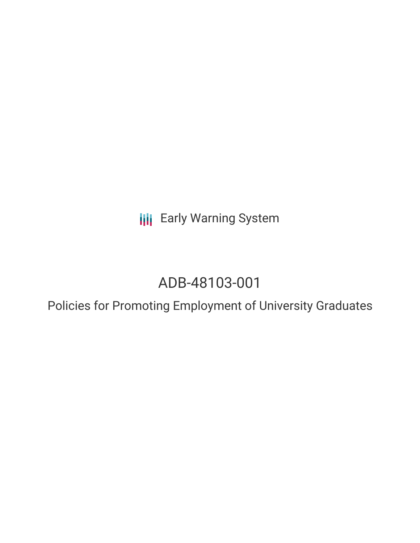**III** Early Warning System

# ADB-48103-001

Policies for Promoting Employment of University Graduates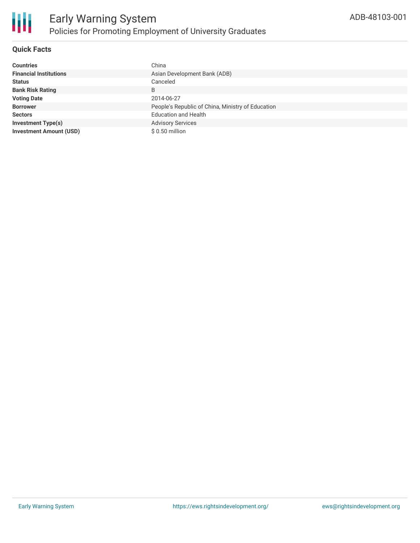

## **Quick Facts**

| <b>Countries</b>               | China                                             |
|--------------------------------|---------------------------------------------------|
| <b>Financial Institutions</b>  | Asian Development Bank (ADB)                      |
| <b>Status</b>                  | Canceled                                          |
| <b>Bank Risk Rating</b>        | B                                                 |
| <b>Voting Date</b>             | 2014-06-27                                        |
| <b>Borrower</b>                | People's Republic of China, Ministry of Education |
| <b>Sectors</b>                 | <b>Education and Health</b>                       |
| <b>Investment Type(s)</b>      | <b>Advisory Services</b>                          |
| <b>Investment Amount (USD)</b> | $$0.50$ million                                   |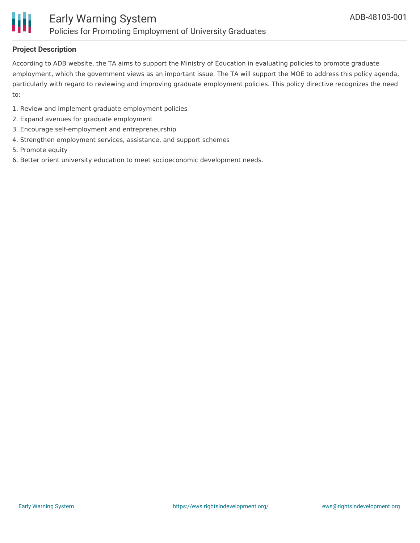

### **Project Description**

According to ADB website, the TA aims to support the Ministry of Education in evaluating policies to promote graduate employment, which the government views as an important issue. The TA will support the MOE to address this policy agenda, particularly with regard to reviewing and improving graduate employment policies. This policy directive recognizes the need to:

- 1. Review and implement graduate employment policies
- 2. Expand avenues for graduate employment
- 3. Encourage self-employment and entrepreneurship
- 4. Strengthen employment services, assistance, and support schemes
- 5. Promote equity
- 6. Better orient university education to meet socioeconomic development needs.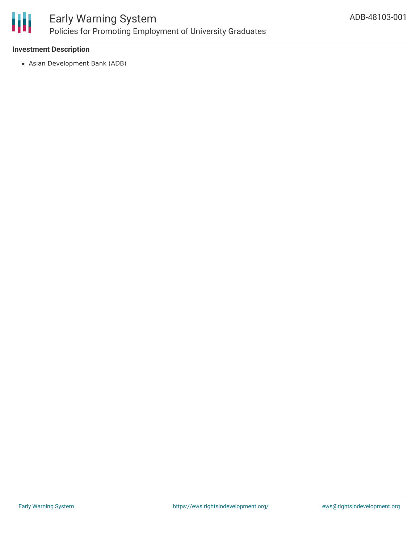

# Early Warning System Policies for Promoting Employment of University Graduates

### **Investment Description**

Asian Development Bank (ADB)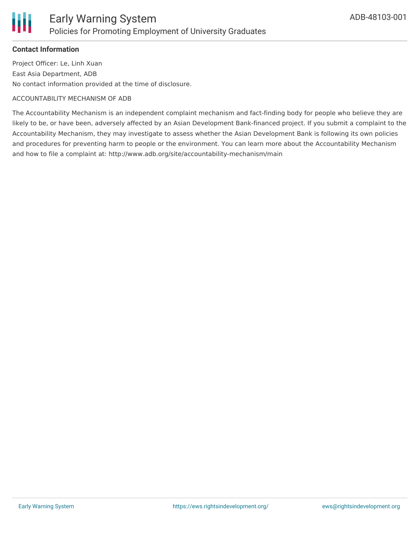

### **Contact Information**

Project Officer: Le, Linh Xuan East Asia Department, ADB No contact information provided at the time of disclosure.

#### ACCOUNTABILITY MECHANISM OF ADB

The Accountability Mechanism is an independent complaint mechanism and fact-finding body for people who believe they are likely to be, or have been, adversely affected by an Asian Development Bank-financed project. If you submit a complaint to the Accountability Mechanism, they may investigate to assess whether the Asian Development Bank is following its own policies and procedures for preventing harm to people or the environment. You can learn more about the Accountability Mechanism and how to file a complaint at: http://www.adb.org/site/accountability-mechanism/main